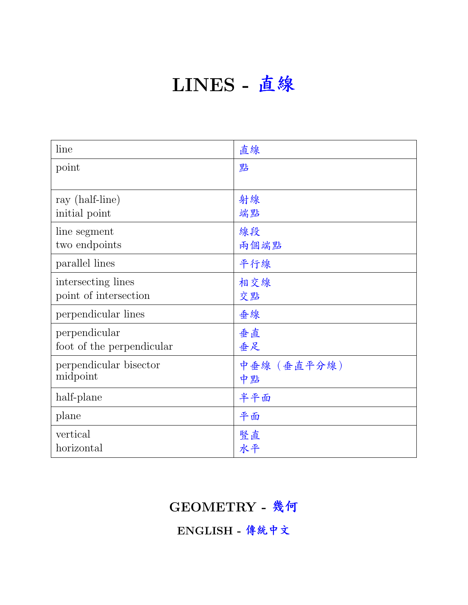# LINES - 直<sup>線</sup>

| line                      | 直線          |
|---------------------------|-------------|
| point                     | 點           |
|                           |             |
| ray (half-line)           | 射線          |
| initial point             | 端點          |
| line segment              | 線段          |
| two endpoints             | 兩個端點        |
| parallel lines            | 平行線         |
| intersecting lines        | 相交線         |
| point of intersection     | 交點          |
| perpendicular lines       | 垂線          |
| perpendicular             | 垂直          |
| foot of the perpendicular | 垂足          |
| perpendicular bisector    | 中垂線 (垂直平分線) |
| midpoint                  | 中點          |
| half-plane                | 半平面         |
| plane                     | 平面          |
| vertical                  | 豎直          |
| horizontal                | 水平          |

GEOMETRY - <sup>幾</sup>何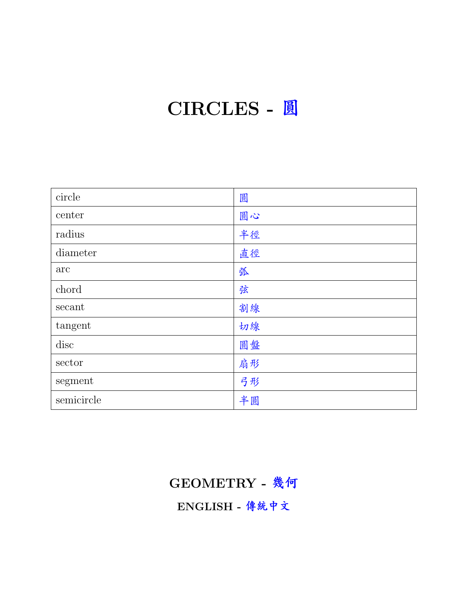## CIRCLES - 圓

| circle     | 圓  |
|------------|----|
| center     | 圓心 |
| radius     | 半徑 |
| diameter   | 直徑 |
| arc        | 弧  |
| chord      | 弦  |
| secant     | 割線 |
| tangent    | 切線 |
| disc       | 圓盤 |
| sector     | 扇形 |
| segment    | 弓形 |
| semicircle | 半圓 |

### GEOMETRY - <sup>幾</sup>何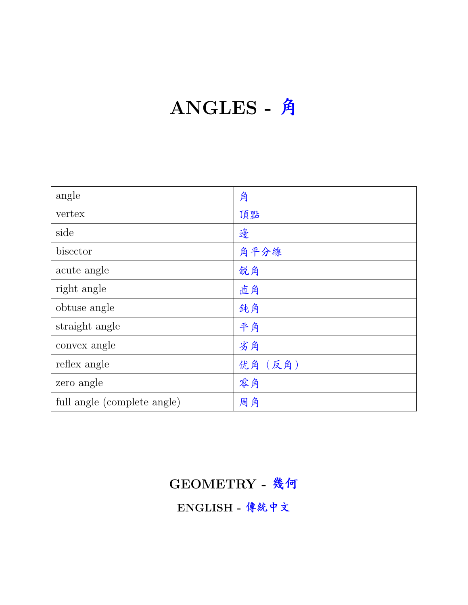# ANGLES - 角

| angle                       | 角       |
|-----------------------------|---------|
| vertex                      | 頂點      |
| side                        | 邊       |
| bisector                    | 角平分線    |
| acute angle                 | 銳角      |
| right angle                 | 直角      |
| obtuse angle                | 鈍角      |
| straight angle              | 平角      |
| convex angle                | 劣角      |
| reflex angle                | 优角 (反角) |
| zero angle                  | 零角      |
| full angle (complete angle) | 周角      |

### GEOMETRY - <sup>幾</sup>何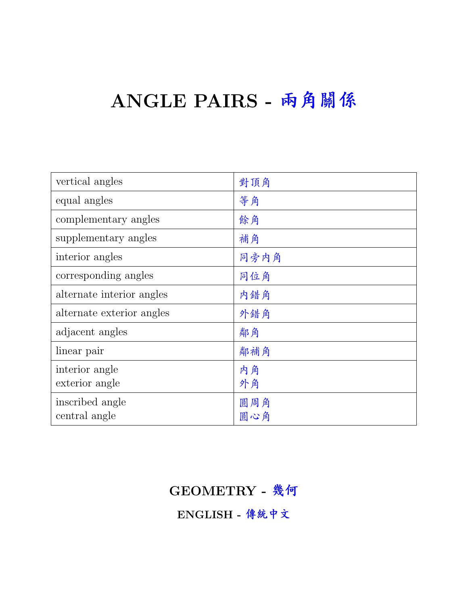## ANGLE PAIRS - <sup>兩</sup>角關係

| vertical angles           | 對頂角  |
|---------------------------|------|
| equal angles              | 等角   |
| complementary angles      | 餘角   |
| supplementary angles      | 補角   |
| interior angles           | 同旁内角 |
| corresponding angles      | 同位角  |
| alternate interior angles | 内錯角  |
| alternate exterior angles | 外錯角  |
| adjacent angles           | 鄰角   |
| linear pair               | 鄰補角  |
| interior angle            | 内角   |
| exterior angle            | 外角   |
| inscribed angle           | 圓周角  |
| central angle             | 圓心角  |

#### GEOMETRY - <sup>幾</sup>何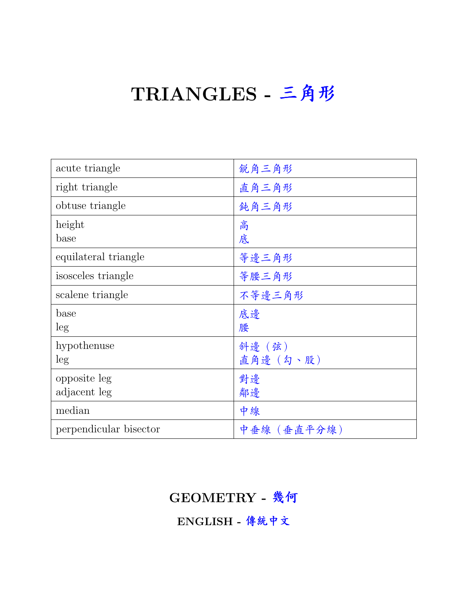### TRIANGLES - <sup>三</sup>角<sup>形</sup>

| acute triangle         | 銳角三角形       |
|------------------------|-------------|
| right triangle         | 直角三角形       |
| obtuse triangle        | 鈍角三角形       |
| height                 | 高           |
| base                   | 底           |
| equilateral triangle   | 等邊三角形       |
| isosceles triangle     | 等腰三角形       |
| scalene triangle       | 不等邊三角形      |
| base                   | 底邊          |
| leg                    | 腰           |
| hypothenuse            | 斜邊 (弦)      |
| leg                    | 直角邊 (勾、股)   |
| opposite leg           | 對邊          |
| adjacent leg           | 鄰邊          |
| median                 | 中線          |
| perpendicular bisector | 中垂線 (垂直平分線) |

#### GEOMETRY - <sup>幾</sup>何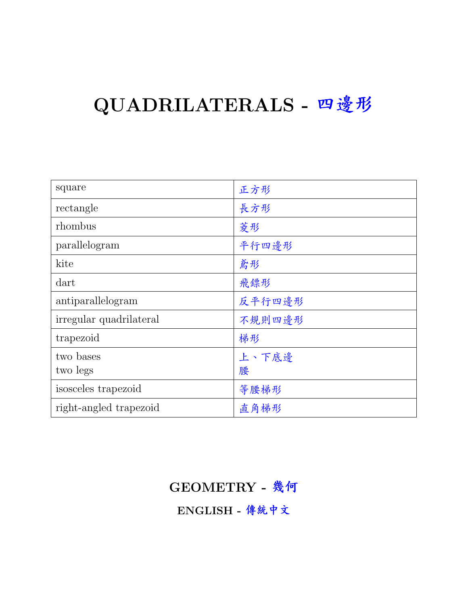# QUADRILATERALS - 四邊形

| square                  | 正方形    |
|-------------------------|--------|
| rectangle               | 長方形    |
| rhombus                 | 菱形     |
| parallelogram           | 平行四邊形  |
| kite                    | 鳶形     |
| dart                    | 飛鏢形    |
| antiparallelogram       | 反平行四邊形 |
| irregular quadrilateral | 不規則四邊形 |
| trapezoid               | 梯形     |
| two bases               | 上、下底邊  |
| two legs                | 腰      |
| isosceles trapezoid     | 等腰梯形   |
| right-angled trapezoid  | 直角梯形   |

#### GEOMETRY - <sup>幾</sup>何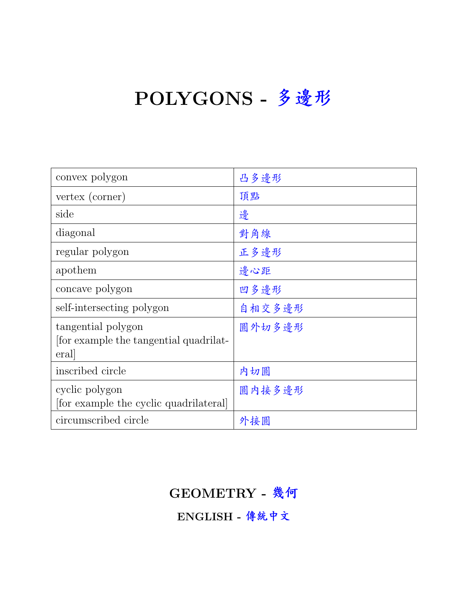# POLYGONS - 多邊形

| convex polygon                                                      | 凸多邊形   |
|---------------------------------------------------------------------|--------|
| vertex (corner)                                                     | 頂點     |
| side                                                                | 邊      |
| diagonal                                                            | 對角線    |
| regular polygon                                                     | 正多邊形   |
| apothem                                                             | 邊心距    |
| concave polygon                                                     | 凹多邊形   |
| self-intersecting polygon                                           | 自相交多邊形 |
| tangential polygon<br>for example the tangential quadrilat-<br>eral | 圓外切多邊形 |
| inscribed circle                                                    | 内切圓    |
| cyclic polygon<br>for example the cyclic quadrilateral              | 圓内接多邊形 |
| circumscribed circle                                                | 外接圓    |

#### GEOMETRY - <sup>幾</sup>何